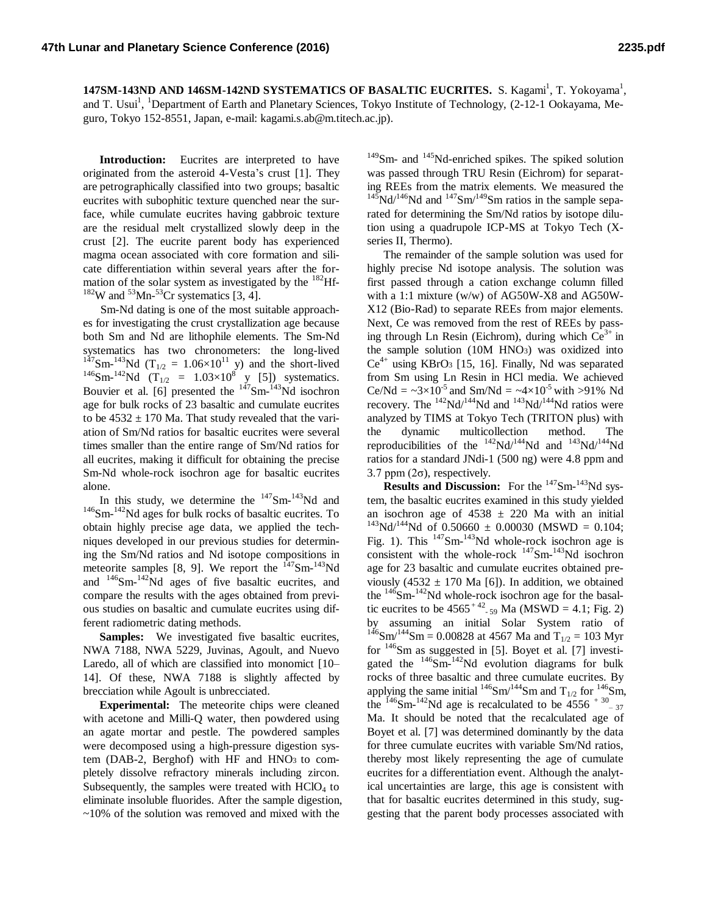**147SM-143ND AND 146SM-142ND SYSTEMATICS OF BASALTIC EUCRITES.** S. Kagami<sup>1</sup>, T. Yokoyama<sup>1</sup>, and T. Usui<sup>1</sup>, <sup>1</sup>Department of Earth and Planetary Sciences, Tokyo Institute of Technology, (2-12-1 Ookayama, Meguro, Tokyo 152-8551, Japan, e-mail: kagami.s.ab@m.titech.ac.jp).

**Introduction:** Eucrites are interpreted to have originated from the asteroid 4-Vesta's crust [1]. They are petrographically classified into two groups; basaltic eucrites with subophitic texture quenched near the surface, while cumulate eucrites having gabbroic texture are the residual melt crystallized slowly deep in the crust [2]. The eucrite parent body has experienced magma ocean associated with core formation and silicate differentiation within several years after the formation of the solar system as investigated by the  $^{182}$ Hf- $182$ W and  $53$ Mn- $53$ Cr systematics [3, 4].

Sm-Nd dating is one of the most suitable approaches for investigating the crust crystallization age because both Sm and Nd are lithophile elements. The Sm-Nd systematics has two chronometers: the long-lived  $147$ Sm- $143$ Nd (T<sub>1/2</sub> = 1.06×10<sup>11</sup> y) and the short-lived <sup>146</sup>Sm-<sup>142</sup>Nd (T<sub>1/2</sub> = 1.03×10<sup>8</sup> y [5]) systematics. Bouvier et al. [6] presented the  $147$ Sm- $143$ Nd isochron age for bulk rocks of 23 basaltic and cumulate eucrites to be  $4532 \pm 170$  Ma. That study revealed that the variation of Sm/Nd ratios for basaltic eucrites were several times smaller than the entire range of Sm/Nd ratios for all eucrites, making it difficult for obtaining the precise Sm-Nd whole-rock isochron age for basaltic eucrites alone.

In this study, we determine the  $147$ Sm- $143$ Nd and <sup>146</sup>Sm-<sup>142</sup>Nd ages for bulk rocks of basaltic eucrites. To obtain highly precise age data, we applied the techniques developed in our previous studies for determining the Sm/Nd ratios and Nd isotope compositions in meteorite samples [8, 9]. We report the  $147$ Sm- $143$ Nd and  $146$ Sm- $142$ Nd ages of five basaltic eucrites, and compare the results with the ages obtained from previous studies on basaltic and cumulate eucrites using different radiometric dating methods.

**Samples:** We investigated five basaltic eucrites, NWA 7188, NWA 5229, Juvinas, Agoult, and Nuevo Laredo, all of which are classified into monomict [10– 14]. Of these, NWA 7188 is slightly affected by brecciation while Agoult is unbrecciated.

**Experimental:** The meteorite chips were cleaned with acetone and Milli-Q water, then powdered using an agate mortar and pestle. The powdered samples were decomposed using a high-pressure digestion system (DAB-2, Berghof) with HF and HNO3 to completely dissolve refractory minerals including zircon. Subsequently, the samples were treated with  $HClO<sub>4</sub>$  to eliminate insoluble fluorides. After the sample digestion,  $\sim$ 10% of the solution was removed and mixed with the

<sup>149</sup>Sm- and <sup>145</sup>Nd-enriched spikes. The spiked solution was passed through TRU Resin (Eichrom) for separating REEs from the matrix elements. We measured the  $145$ Nd/<sup>146</sup>Nd and  $147$ Sm<sup> $/149$ </sup>Sm ratios in the sample separated for determining the Sm/Nd ratios by isotope dilution using a quadrupole ICP-MS at Tokyo Tech (Xseries II, Thermo).

The remainder of the sample solution was used for highly precise Nd isotope analysis. The solution was first passed through a cation exchange column filled with a 1:1 mixture (w/w) of AG50W-X8 and AG50W-X12 (Bio-Rad) to separate REEs from major elements. Next, Ce was removed from the rest of REEs by passing through Ln Resin (Eichrom), during which  $Ce^{3+}$  in the sample solution (10M HNO3) was oxidized into  $Ce<sup>4+</sup>$  using KBrO<sub>3</sub> [15, 16]. Finally, Nd was separated from Sm using Ln Resin in HCl media. We achieved Ce/Nd =  $\sim 3 \times 10^{-5}$  and Sm/Nd =  $\sim 4 \times 10^{-5}$  with >91% Nd recovery. The  $^{142}$ Nd/ $^{144}$ Nd and  $^{143}$ Nd/ $^{144}$ Nd ratios were analyzed by TIMS at Tokyo Tech (TRITON plus) with the dynamic multicollection method. The reproducibilities of the  $^{142}Nd/^{144}Nd$  and  $^{143}Nd/^{144}Nd$ ratios for a standard JNdi-1 (500 ng) were 4.8 ppm and 3.7 ppm  $(2\sigma)$ , respectively.

**Results and Discussion:** For the <sup>147</sup>Sm-<sup>143</sup>Nd system, the basaltic eucrites examined in this study yielded an isochron age of  $4538 \pm 220$  Ma with an initial  $143$ Nd/<sup>144</sup>Nd of 0.50660  $\pm$  0.00030 (MSWD = 0.104; Fig. 1). This  $147$ Sm- $143$ Nd whole-rock isochron age is consistent with the whole-rock  $147$ Sm- $143$ Nd isochron age for 23 basaltic and cumulate eucrites obtained previously (4532  $\pm$  170 Ma [6]). In addition, we obtained the  $146$ Sm- $142$ Nd whole-rock isochron age for the basaltic eucrites to be  $4565^{+42}$ <sub>-59</sub> Ma (MSWD = 4.1; Fig. 2) by assuming an initial Solar System ratio of  $146$ Sm<sup> $/144$ </sup>Sm = 0.00828 at 4567 Ma and T<sub>1/2</sub> = 103 Myr for  $146$ Sm as suggested in [5]. Boyet et al. [7] investigated the  $^{146}$ Sm- $^{142}$ Nd evolution diagrams for bulk rocks of three basaltic and three cumulate eucrites. By applying the same initial  $146$ Sm $/144$ Sm and T<sub>1/2</sub> for  $146$ Sm, the  $146$ Sm- $142$ Nd age is recalculated to be 4556  $+30$ <sub>-37</sub> Ma. It should be noted that the recalculated age of Boyet et al. [7] was determined dominantly by the data for three cumulate eucrites with variable Sm/Nd ratios, thereby most likely representing the age of cumulate eucrites for a differentiation event. Although the analytical uncertainties are large, this age is consistent with that for basaltic eucrites determined in this study, suggesting that the parent body processes associated with